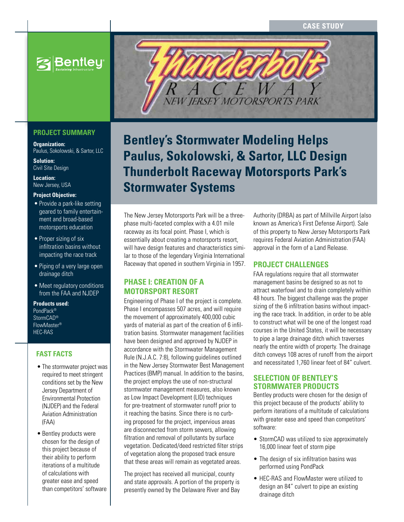**S**Bentley

# **PROJECT SUMMARY**

**Organization:**  Paulus, Sokolowski, & Sartor, LLC

**Solution:**  Civil Site Design

**Location:**  New Jersey, USA

### **Project Objective:**

- Provide a park-like setting geared to family entertainment and broad-based motorsports education
- Proper sizing of six infiltration basins without impacting the race track
- Piping of a very large open drainage ditch
- Meet regulatory conditions from the FAA and NJDEP

#### **Products used:** PondPack® StormCAD® FlowMaster® HEC-RAS

## **FAST FACTS**

- The stormwater project was required to meet stringent conditions set by the New Jersey Department of Environmental Protection (NJDEP) and the Federal Aviation Administration (FAA)
- Bentley products were chosen for the design of this project because of their ability to perform iterations of a multitude of calculations with greater ease and speed than competitors' software



# **Bentley's Stormwater Modeling Helps Paulus, Sokolowski, & Sartor, LLC Design Thunderbolt Raceway Motorsports Park's Stormwater Systems**

The New Jersey Motorsports Park will be a threephase multi-faceted complex with a 4.01 mile raceway as its focal point. Phase I, which is essentially about creating a motorsports resort, will have design features and characteristics similar to those of the legendary Virginia International Raceway that opened in southern Virginia in 1957.

# **Phase I: Creation of a motorsport resort**

Engineering of Phase I of the project is complete. Phase I encompasses 507 acres, and will require the movement of approximately 400,000 cubic yards of material as part of the creation of 6 infiltration basins. Stormwater management facilities have been designed and approved by NJDEP in accordance with the Stormwater Management Rule (N.J.A.C. 7:8), following guidelines outlined in the New Jersey Stormwater Best Management Practices (BMP) manual. In addition to the basins, the project employs the use of non-structural stormwater management measures, also known as Low Impact Development (LID) techniques for pre-treatment of stormwater runoff prior to it reaching the basins. Since there is no curbing proposed for the project, impervious areas are disconnected from storm sewers, allowing filtration and removal of pollutants by surface vegetation. Dedicated/deed restricted filter strips of vegetation along the proposed track ensure that these areas will remain as vegetated areas.

The project has received all municipal, county and state approvals. A portion of the property is presently owned by the Delaware River and Bay

Authority (DRBA) as part of Millville Airport (also known as America's First Defense Airport). Sale of this property to New Jersey Motorsports Park requires Federal Aviation Administration (FAA) approval in the form of a Land Release.

# **Project challenges**

FAA regulations require that all stormwater management basins be designed so as not to attract waterfowl and to drain completely within 48 hours. The biggest challenge was the proper sizing of the 6 infiltration basins without impacting the race track. In addition, in order to be able to construct what will be one of the longest road courses in the United States, it will be necessary to pipe a large drainage ditch which traverses nearly the entire width of property. The drainage ditch conveys 108 acres of runoff from the airport and necessitated 1,760 linear feet of 84" culvert.

## **Selection of Bentley's stormwater products**

Bentley products were chosen for the design of this project because of the products' ability to perform iterations of a multitude of calculations with greater ease and speed than competitors' software:

- StormCAD was utilized to size approximately 16,000 linear feet of storm pipe
- The design of six infiltration basins was performed using PondPack
- • HEC-RAS and FlowMaster were utilized to design an 84" culvert to pipe an existing drainage ditch